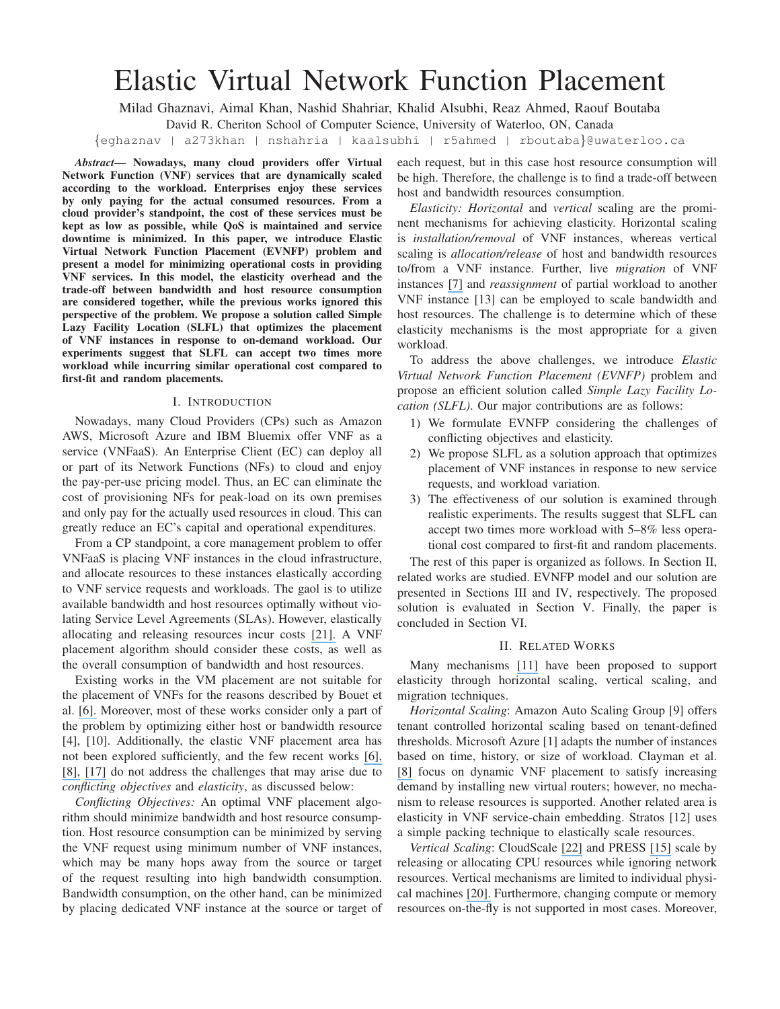# Elastic Virtual Network Function Placement

Milad Ghaznavi, Aimal Khan, Nashid Shahriar, Khalid Alsubhi, Reaz Ahmed, Raouf Boutaba

David R. Cheriton School of Computer Science, University of Waterloo, ON, Canada

{eghaznav | a273khan | nshahria | kaalsubhi | r5ahmed | rboutaba}@uwaterloo.ca

*Abstract*— Nowadays, many cloud providers offer Virtual Network Function (VNF) services that are dynamically scaled according to the workload. Enterprises enjoy these services by only paying for the actual consumed resources. From a cloud provider's standpoint, the cost of these services must be kept as low as possible, while QoS is maintained and service downtime is minimized. In this paper, we introduce Elastic Virtual Network Function Placement (EVNFP) problem and present a model for minimizing operational costs in providing VNF services. In this model, the elasticity overhead and the trade-off between bandwidth and host resource consumption are considered together, while the previous works ignored this perspective of the problem. We propose a solution called Simple Lazy Facility Location (SLFL) that optimizes the placement of VNF instances in response to on-demand workload. Our experiments suggest that SLFL can accept two times more workload while incurring similar operational cost compared to first-fit and random placements.

## I. INTRODUCTION

Nowadays, many Cloud Providers (CPs) such as Amazon AWS, Microsoft Azure and IBM Bluemix offer VNF as a service (VNFaaS). An Enterprise Client (EC) can deploy all or part of its Network Functions (NFs) to cloud and enjoy the pay-per-use pricing model. Thus, an EC can eliminate the cost of provisioning NFs for peak-load on its own premises and only pay for the actually used resources in cloud. This can greatly reduce an EC's capital and operational expenditures.

From a CP standpoint, a core management problem to offer VNFaaS is placing VNF instances in the cloud infrastructure, and allocate resources to these instances elastically according to VNF service requests and workloads. The gaol is to utilize available bandwidth and host resources optimally without violating Service Level Agreements (SLAs). However, elastically allocating and releasing resources incur costs [21]. A VNF placement algorithm should consider these costs, as well as the overall consumption of bandwidth and host resources.

Existing works in the VM placement are not suitable for the placement of VNFs for the reasons described by Bouet et al. [6]. Moreover, most of these works consider only a part of the problem by optimizing either host or bandwidth resource [4], [10]. Additionally, the elastic VNF placement area has not been explored sufficiently, and the few recent works [6], [8], [17] do not address the challenges that may arise due to *conflicting objectives* and *elasticity*, as discussed below:

*Conflicting Objectives:* An optimal VNF placement algorithm should minimize bandwidth and host resource consumption. Host resource consumption can be minimized by serving the VNF request using minimum number of VNF instances, which may be many hops away from the source or target of the request resulting into high bandwidth consumption. Bandwidth consumption, on the other hand, can be minimized by placing dedicated VNF instance at the source or target of

each request, but in this case host resource consumption will be high. Therefore, the challenge is to find a trade-off between host and bandwidth resources consumption.

*Elasticity: Horizontal* and *vertical* scaling are the prominent mechanisms for achieving elasticity. Horizontal scaling is *installation/removal* of VNF instances, whereas vertical scaling is *allocation/release* of host and bandwidth resources to/from a VNF instance. Further, live *migration* of VNF instances [7] and *reassignment* of partial workload to another VNF instance [13] can be employed to scale bandwidth and host resources. The challenge is to determine which of these elasticity mechanisms is the most appropriate for a given workload.

To address the above challenges, we introduce *Elastic Virtual Network Function Placement (EVNFP)* problem and propose an efficient solution called *Simple Lazy Facility Location (SLFL)*. Our major contributions are as follows:

- 1) We formulate EVNFP considering the challenges of conflicting objectives and elasticity.
- 2) We propose SLFL as a solution approach that optimizes placement of VNF instances in response to new service requests, and workload variation.
- 3) The effectiveness of our solution is examined through realistic experiments. The results suggest that SLFL can accept two times more workload with 5–8% less operational cost compared to first-fit and random placements.

The rest of this paper is organized as follows. In Section II, related works are studied. EVNFP model and our solution are presented in Sections III and IV, respectively. The proposed solution is evaluated in Section V. Finally, the paper is concluded in Section VI.

### II. RELATED WORKS

Many mechanisms [11] have been proposed to support elasticity through horizontal scaling, vertical scaling, and migration techniques.

*Horizontal Scaling*: Amazon Auto Scaling Group [9] offers tenant controlled horizontal scaling based on tenant-defined thresholds. Microsoft Azure [1] adapts the number of instances based on time, history, or size of workload. Clayman et al. [8] focus on dynamic VNF placement to satisfy increasing demand by installing new virtual routers; however, no mechanism to release resources is supported. Another related area is elasticity in VNF service-chain embedding. Stratos [12] uses a simple packing technique to elastically scale resources.

*Vertical Scaling*: CloudScale [22] and PRESS [15] scale by releasing or allocating CPU resources while ignoring network resources. Vertical mechanisms are limited to individual physical machines [20]. Furthermore, changing compute or memory resources on-the-fly is not supported in most cases. Moreover,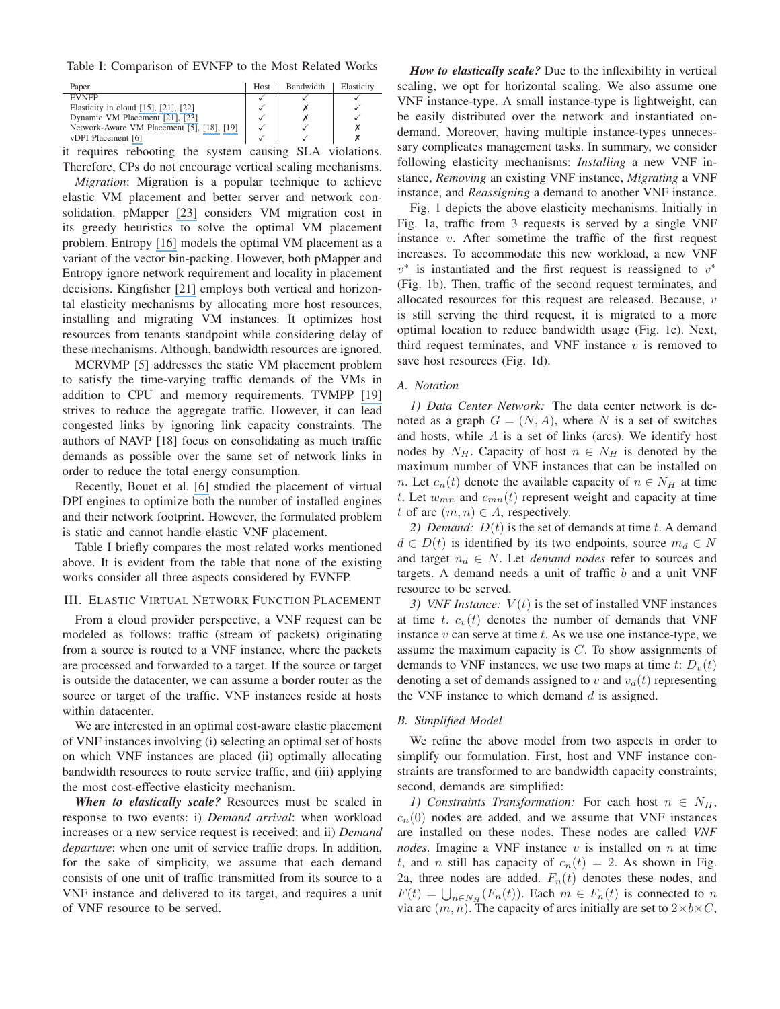Table I: Comparison of EVNFP to the Most Related Works

| Paper                                      | Host | Bandwidth | Elasticity |
|--------------------------------------------|------|-----------|------------|
| <b>EVNFP</b>                               |      |           |            |
| Elasticity in cloud [15], [21], [22]       |      |           |            |
| Dynamic VM Placement [21], [23]            |      |           |            |
| Network-Aware VM Placement [5], [18], [19] |      |           |            |
| vDPI Placement [6]                         |      |           |            |
|                                            |      |           |            |

it requires rebooting the system causing SLA violations. Therefore, CPs do not encourage vertical scaling mechanisms.

*Migration*: Migration is a popular technique to achieve elastic VM placement and better server and network consolidation. pMapper [23] considers VM migration cost in its greedy heuristics to solve the optimal VM placement problem. Entropy [16] models the optimal VM placement as a variant of the vector bin-packing. However, both pMapper and Entropy ignore network requirement and locality in placement decisions. Kingfisher [21] employs both vertical and horizontal elasticity mechanisms by allocating more host resources, installing and migrating VM instances. It optimizes host resources from tenants standpoint while considering delay of these mechanisms. Although, bandwidth resources are ignored.

MCRVMP [5] addresses the static VM placement problem to satisfy the time-varying traffic demands of the VMs in addition to CPU and memory requirements. TVMPP [19] strives to reduce the aggregate traffic. However, it can lead congested links by ignoring link capacity constraints. The authors of NAVP [18] focus on consolidating as much traffic demands as possible over the same set of network links in order to reduce the total energy consumption.

Recently, Bouet et al. [6] studied the placement of virtual DPI engines to optimize both the number of installed engines and their network footprint. However, the formulated problem is static and cannot handle elastic VNF placement.

Table I briefly compares the most related works mentioned above. It is evident from the table that none of the existing works consider all three aspects considered by EVNFP.

## III. ELASTIC VIRTUAL NETWORK FUNCTION PLACEMENT

From a cloud provider perspective, a VNF request can be modeled as follows: traffic (stream of packets) originating from a source is routed to a VNF instance, where the packets are processed and forwarded to a target. If the source or target is outside the datacenter, we can assume a border router as the source or target of the traffic. VNF instances reside at hosts within datacenter.

We are interested in an optimal cost-aware elastic placement of VNF instances involving (i) selecting an optimal set of hosts on which VNF instances are placed (ii) optimally allocating bandwidth resources to route service traffic, and (iii) applying the most cost-effective elasticity mechanism.

*When to elastically scale?* Resources must be scaled in response to two events: i) *Demand arrival*: when workload increases or a new service request is received; and ii) *Demand departure*: when one unit of service traffic drops. In addition, for the sake of simplicity, we assume that each demand consists of one unit of traffic transmitted from its source to a VNF instance and delivered to its target, and requires a unit of VNF resource to be served.

*How to elastically scale?* Due to the inflexibility in vertical scaling, we opt for horizontal scaling. We also assume one VNF instance-type. A small instance-type is lightweight, can be easily distributed over the network and instantiated ondemand. Moreover, having multiple instance-types unnecessary complicates management tasks. In summary, we consider following elasticity mechanisms: *Installing* a new VNF instance, *Removing* an existing VNF instance, *Migrating* a VNF instance, and *Reassigning* a demand to another VNF instance.

Fig. 1 depicts the above elasticity mechanisms. Initially in Fig. 1a, traffic from 3 requests is served by a single VNF instance  $v$ . After sometime the traffic of the first request increases. To accommodate this new workload, a new VNF  $v^*$  is instantiated and the first request is reassigned to  $v^*$ (Fig. 1b). Then, traffic of the second request terminates, and allocated resources for this request are released. Because,  $v$ is still serving the third request, it is migrated to a more optimal location to reduce bandwidth usage (Fig. 1c). Next, third request terminates, and VNF instance  $v$  is removed to save host resources (Fig. 1d).

## *A. Notation*

*1) Data Center Network:* The data center network is denoted as a graph  $G = (N, A)$ , where N is a set of switches and hosts, while  $A$  is a set of links (arcs). We identify host nodes by  $N_H$ . Capacity of host  $n \in N_H$  is denoted by the maximum number of VNF instances that can be installed on *n*. Let  $c_n(t)$  denote the available capacity of  $n \in N_H$  at time t. Let  $w_{mn}$  and  $c_{mn}(t)$  represent weight and capacity at time t of arc  $(m, n) \in A$ , respectively.

2) *Demand:*  $D(t)$  is the set of demands at time t. A demand  $d \in D(t)$  is identified by its two endpoints, source  $m_d \in N$ and target  $n_d \in N$ . Let *demand nodes* refer to sources and targets. A demand needs a unit of traffic  $b$  and a unit VNF resource to be served.

*3) VNF Instance:*  $V(t)$  is the set of installed VNF instances at time t.  $c_v(t)$  denotes the number of demands that VNF instance  $v$  can serve at time  $t$ . As we use one instance-type, we assume the maximum capacity is  $C$ . To show assignments of demands to VNF instances, we use two maps at time t:  $D<sub>v</sub>(t)$ denoting a set of demands assigned to v and  $v_d(t)$  representing the VNF instance to which demand  $d$  is assigned.

#### *B. Simplified Model*

We refine the above model from two aspects in order to simplify our formulation. First, host and VNF instance constraints are transformed to arc bandwidth capacity constraints; second, demands are simplified:

*1)* Constraints Transformation: For each host  $n \in N_H$ ,  $c_n(0)$  nodes are added, and we assume that VNF instances are installed on these nodes. These nodes are called *VNF*  $nodes.$  Imagine a VNF instance  $v$  is installed on  $n$  at time t, and n still has capacity of  $c_n(t) = 2$ . As shown in Fig. 2a, three nodes are added.  $F_n(t)$  denotes these nodes, and  $F(t) = \bigcup_{n \in N_H} (F_n(t))$ . Each  $m \in F_n(t)$  is connected to n via arc  $(m, n)$ . The capacity of arcs initially are set to  $2 \times b \times C$ ,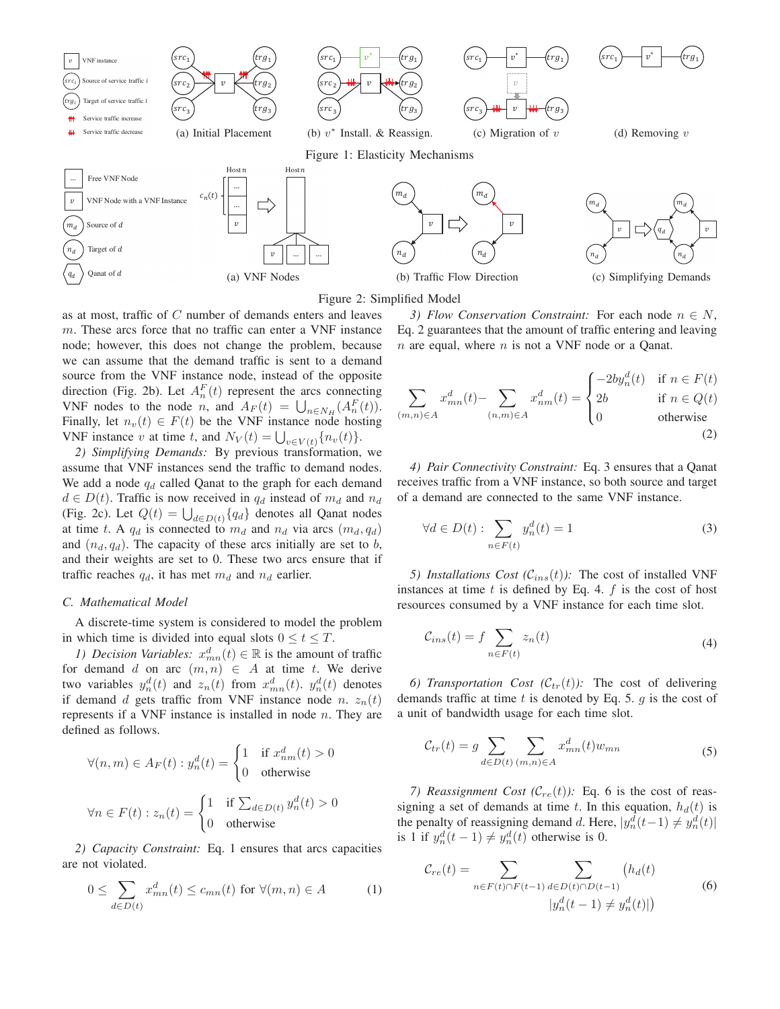

Figure 2: Simplified Model

as at most, traffic of  $C$  number of demands enters and leaves  $m$ . These arcs force that no traffic can enter a VNF instance node; however, this does not change the problem, because we can assume that the demand traffic is sent to a demand source from the VNF instance node, instead of the opposite direction (Fig. 2b). Let  $A_n^F(t)$  represent the arcs connecting VNF nodes to the node n, and  $A_F(t) = \bigcup_{n \in N_H} (A_n^F(t)).$ Finally, let  $n_v(t) \in F(t)$  be the VNF instance node hosting VNF instance v at time t, and  $N_V(t) = \bigcup_{v \in V(t)} \{n_v(t)\}.$ 

2) Simplifying Demands: By previous transformation, we assume that VNF instances send the traffic to demand nodes. We add a node  $q_d$  called Qanat to the graph for each demand  $d \in D(t)$ . Traffic is now received in  $q_d$  instead of  $m_d$  and  $n_d$ (Fig. 2c). Let  $Q(t) = \bigcup_{d \in D(t)} \{q_d\}$  denotes all Qanat nodes at time t. A  $q_d$  is connected to  $m_d$  and  $n_d$  via arcs  $(m_d, q_d)$ and  $(n_d, q_d)$ . The capacity of these arcs initially are set to b, and their weights are set to 0. These two arcs ensure that if traffic reaches  $q_d$ , it has met  $m_d$  and  $n_d$  earlier.

## C. Mathematical Model

A discrete-time system is considered to model the problem in which time is divided into equal slots  $0 \le t \le T$ .

*I*) *Decision Variables:*  $x_{mn}^d(t) \in \mathbb{R}$  is the amount of traffic for demand d on arc  $(m, n) \in A$  at time t. We derive two variables  $y_n^d(t)$  and  $z_n(t)$  from  $x_{mn}^d(t)$ .  $y_n^d(t)$  denotes if demand d gets traffic from VNF instance node n.  $z_n(t)$ represents if a VNF instance is installed in node  $n$ . They are defined as follows.

$$
\forall (n, m) \in A_F(t) : y_n^d(t) = \begin{cases} 1 & \text{if } x_{nm}^d(t) > 0 \\ 0 & \text{otherwise} \end{cases}
$$

$$
\forall n \in F(t) : z_n(t) = \begin{cases} 1 & \text{if } \sum_{d \in D(t)} y_n^d(t) > 0 \\ 0 & \text{otherwise} \end{cases}
$$

2) Capacity Constraint: Eq. 1 ensures that arcs capacities are not violated.

$$
0 \leq \sum_{d \in D(t)} x_{mn}^d(t) \leq c_{mn}(t) \text{ for } \forall (m, n) \in A
$$
 (1)

3) Flow Conservation Constraint: For each node  $n \in N$ , Eq. 2 guarantees that the amount of traffic entering and leaving  $n$  are equal, where  $n$  is not a VNF node or a Qanat.

$$
\sum_{(m,n)\in A} x_{mn}^d(t) - \sum_{(n,m)\in A} x_{nm}^d(t) = \begin{cases} -2by_n^d(t) & \text{if } n \in F(t) \\ 2b & \text{if } n \in Q(t) \\ 0 & \text{otherwise} \end{cases}
$$
 (2)

4) Pair Connectivity Constraint: Eq. 3 ensures that a Qanat receives traffic from a VNF instance, so both source and target of a demand are connected to the same VNF instance.

$$
\forall d \in D(t) : \sum_{n \in F(t)} y_n^d(t) = 1 \tag{3}
$$

5) Installations Cost  $(C_{ins}(t))$ : The cost of installed VNF instances at time  $t$  is defined by Eq. 4.  $f$  is the cost of host resources consumed by a VNF instance for each time slot.

$$
\mathcal{C}_{ins}(t) = f \sum_{n \in F(t)} z_n(t) \tag{4}
$$

6) Transportation Cost  $(C_{tr}(t))$ : The cost of delivering demands traffic at time t is denoted by Eq. 5.  $q$  is the cost of a unit of bandwidth usage for each time slot.

$$
\mathcal{C}_{tr}(t) = g \sum_{d \in D(t)} \sum_{(m,n) \in A} x_{mn}^d(t) w_{mn}
$$
\n(5)

7) Reassignment Cost  $(\mathcal{C}_{re}(t))$ : Eq. 6 is the cost of reassigning a set of demands at time t. In this equation,  $h_d(t)$  is the penalty of reassigning demand d. Here,  $|y_n^d(t-1) \neq y_n^d(t)|$ is 1 if  $y_n^d(t-1) \neq y_n^d(t)$  otherwise is 0.

$$
\mathcal{C}_{re}(t) = \sum_{n \in F(t) \cap F(t-1)} \sum_{d \in D(t) \cap D(t-1)} (h_d(t) - h_d(t))
$$
\n(6)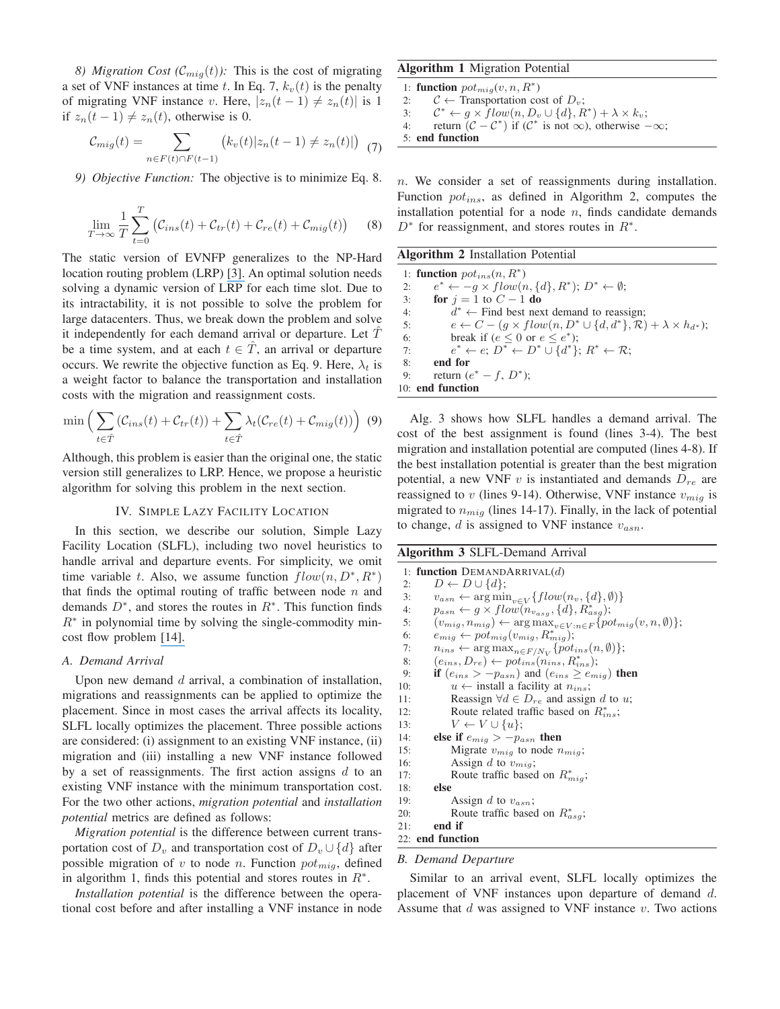*8) Migration Cost* ( $\mathcal{C}_{mig}(t)$ ): This is the cost of migrating a set of VNF instances at time t. In Eq. 7,  $k_v(t)$  is the penalty of migrating VNF instance v. Here,  $|z_n(t-1) \neq z_n(t)|$  is 1 if  $z_n(t-1) \neq z_n(t)$ , otherwise is 0.

$$
C_{mig}(t) = \sum_{n \in F(t) \cap F(t-1)} (k_v(t)|z_n(t-1) \neq z_n(t)|) \quad (7)
$$

*9) Objective Function:* The objective is to minimize Eq. 8.

$$
\lim_{T \to \infty} \frac{1}{T} \sum_{t=0}^{T} \left( \mathcal{C}_{ins}(t) + \mathcal{C}_{tr}(t) + \mathcal{C}_{re}(t) + \mathcal{C}_{mig}(t) \right) \tag{8}
$$

The static version of EVNFP generalizes to the NP-Hard location routing problem (LRP) [3]. An optimal solution needs solving a dynamic version of LRP for each time slot. Due to its intractability, it is not possible to solve the problem for large datacenters. Thus, we break down the problem and solve it independently for each demand arrival or departure. Let  $\overline{T}$ be a time system, and at each  $t \in \overline{T}$ , an arrival or departure occurs. We rewrite the objective function as Eq. 9. Here,  $\lambda_t$  is a weight factor to balance the transportation and installation costs with the migration and reassignment costs.

$$
\min\left(\sum_{t \in \hat{T}} (\mathcal{C}_{ins}(t) + \mathcal{C}_{tr}(t)) + \sum_{t \in \hat{T}} \lambda_t (\mathcal{C}_{re}(t) + \mathcal{C}_{mig}(t))\right) (9)
$$

Although, this problem is easier than the original one, the static version still generalizes to LRP. Hence, we propose a heuristic algorithm for solving this problem in the next section.

## IV. SIMPLE LAZY FACILITY LOCATION

In this section, we describe our solution, Simple Lazy Facility Location (SLFL), including two novel heuristics to handle arrival and departure events. For simplicity, we omit time variable t. Also, we assume function  $flow(n, D^*, R^*)$ that finds the optimal routing of traffic between node  $n$  and demands  $D^*$ , and stores the routes in  $R^*$ . This function finds  $R^*$  in polynomial time by solving the single-commodity mincost flow problem [14].

### *A. Demand Arrival*

Upon new demand  $d$  arrival, a combination of installation, migrations and reassignments can be applied to optimize the placement. Since in most cases the arrival affects its locality, SLFL locally optimizes the placement. Three possible actions are considered: (i) assignment to an existing VNF instance, (ii) migration and (iii) installing a new VNF instance followed by a set of reassignments. The first action assigns  $d$  to an existing VNF instance with the minimum transportation cost. For the two other actions, *migration potential* and *installation potential* metrics are defined as follows:

*Migration potential* is the difference between current transportation cost of  $D_v$  and transportation cost of  $D_v \cup \{d\}$  after possible migration of v to node n. Function  $pot_{\text{min}}$ , defined in algorithm 1, finds this potential and stores routes in  $R^*$ .

*Installation potential* is the difference between the operational cost before and after installing a VNF instance in node

## Algorithm 1 Migration Potential

- 1: function  $pot_{mig}(v, n, R^*)$ 2:  $C \leftarrow$  Transportation cost of  $D_v$ ;  $3:$ \*  $\leftarrow g \times \text{flow}(n, D_v \cup \{d\}, R^*) + \lambda \times k_v;$
- 4: return  $(C C^*)$  if  $(C^*$  is not  $\infty$ ), otherwise  $-\infty$ ;

5: end function

n. We consider a set of reassignments during installation. Function  $pot_{ins}$ , as defined in Algorithm 2, computes the installation potential for a node  $n$ , finds candidate demands  $D^*$  for reassignment, and stores routes in  $R^*$ .

| Algorithm 2 Installation Potential |  |
|------------------------------------|--|
|------------------------------------|--|

|    | 1: <b>function</b> $pot_{ins}(n, R^*)$                                                            |
|----|---------------------------------------------------------------------------------------------------|
| 2: | $e^* \leftarrow -q \times flow(n, \{d\}, R^*)$ ; $D^* \leftarrow \emptyset$ ;                     |
| 3: | for $j = 1$ to $C - 1$ do                                                                         |
| 4: | $d^* \leftarrow$ Find best next demand to reassign;                                               |
| 5: | $e \leftarrow C - (q \times flow(n, D^* \cup \{d, d^*\}, \mathcal{R}) + \lambda \times h_{d^*});$ |
| 6: | break if $(e \leq 0$ or $e \leq e^*$ ;                                                            |
| 7: | $e^* \leftarrow e$ ; $D^* \leftarrow D^* \cup \{d^*\}$ ; $R^* \leftarrow \mathcal{R}$ ;           |
| 8: | end for                                                                                           |
| 9: | return $(e^* - f, D^*)$ ;                                                                         |
|    | 10: end function                                                                                  |
|    |                                                                                                   |

Alg. 3 shows how SLFL handles a demand arrival. The cost of the best assignment is found (lines 3-4). The best migration and installation potential are computed (lines 4-8). If the best installation potential is greater than the best migration potential, a new VNF v is instantiated and demands  $D_{re}$  are reassigned to v (lines 9-14). Otherwise, VNF instance  $v_{mig}$  is migrated to  $n_{\text{mig}}$  (lines 14-17). Finally, in the lack of potential to change,  $d$  is assigned to VNF instance  $v_{asn}$ .

| <b>Algorithm 3 SLFL-Demand Arrival</b>                                                              |  |  |  |  |
|-----------------------------------------------------------------------------------------------------|--|--|--|--|
| 1: function DEMANDARRIVAL $(d)$                                                                     |  |  |  |  |
| $D \leftarrow D \cup \{d\};$<br>2:                                                                  |  |  |  |  |
| $v_{asn} \leftarrow \arg\min_{v \in V} \{ flow(n_v, \{d\}, \emptyset) \}$<br>3:                     |  |  |  |  |
| $p_{asn} \leftarrow g \times flow(n_{v_{assq}}, \{d\}, R^*_{assq});$<br>4:                          |  |  |  |  |
| $(v_{mig}, n_{mig}) \leftarrow \arg \max_{v \in V : n \in F} \{pot_{mig}(v, n, \emptyset)\};$<br>5: |  |  |  |  |
| $e_{mig} \leftarrow pot_{mig}(v_{mig}, R_{mig}^*);$<br>6:                                           |  |  |  |  |
| $n_{ins} \leftarrow \arg \max_{n \in F/N_V} \{pot_{ins}(n, \emptyset)\};$<br>7:                     |  |  |  |  |
| $(e_{ins}, D_{re}) \leftarrow pot_{ins}(n_{ins}, R_{ins}^*)$ ;<br>8:                                |  |  |  |  |
| <b>if</b> $(e_{ins} > -p_{asn})$ and $(e_{ins} \ge e_{mig})$ then<br>9:                             |  |  |  |  |
| $u \leftarrow$ install a facility at $n_{ins}$ ;<br>10:                                             |  |  |  |  |
| Reassign $\forall d \in D_{re}$ and assign d to u;<br>11:                                           |  |  |  |  |
| Route related traffic based on $R_{ins}^*$ ;<br>12:                                                 |  |  |  |  |
| $V \leftarrow V \cup \{u\};$<br>13:                                                                 |  |  |  |  |
| 14:<br>else if $e_{m i q} > -p_{asn}$ then                                                          |  |  |  |  |
| Migrate $v_{\text{m}iq}$ to node $n_{\text{m}iq}$ ;<br>15:                                          |  |  |  |  |
| Assign d to $v_{\text{mid}}$ ;<br>16:                                                               |  |  |  |  |
| Route traffic based on $R_{miq}^*$ ;<br>17:                                                         |  |  |  |  |
| else<br>18:                                                                                         |  |  |  |  |
| Assign d to $v_{asn}$ ;<br>19:                                                                      |  |  |  |  |
| 20:<br>Route traffic based on $R_{asa}^*$ ;                                                         |  |  |  |  |
| end if<br>21:                                                                                       |  |  |  |  |
| 22: end function                                                                                    |  |  |  |  |
|                                                                                                     |  |  |  |  |

## *B. Demand Departure*

Similar to an arrival event, SLFL locally optimizes the placement of VNF instances upon departure of demand d. Assume that  $d$  was assigned to VNF instance  $v$ . Two actions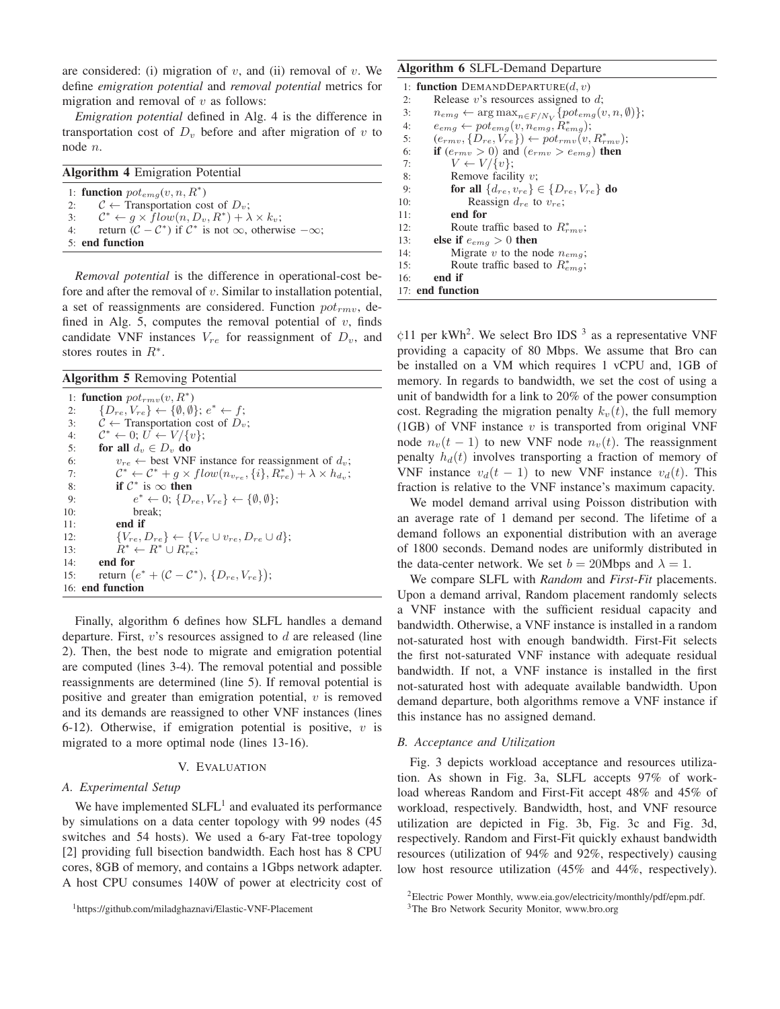are considered: (i) migration of  $v$ , and (ii) removal of  $v$ . We define *emigration potential* and *removal potential* metrics for migration and removal of  $v$  as follows:

*Emigration potential* defined in Alg. 4 is the difference in transportation cost of  $D<sub>v</sub>$  before and after migration of v to node n.

| <b>Algorithm 4</b> Emigration Potential                                        |  |
|--------------------------------------------------------------------------------|--|
| 1: function $pot_{emg}(v, n, R^*)$                                             |  |
| 2: $C \leftarrow$ Transportation cost of $D_v$ ;                               |  |
| 3: $\mathcal{C}^* \leftarrow g \times flow(n, D_v, R^*) + \lambda \times k_v;$ |  |
| return ( $C - C^*$ ) if $C^*$ is not $\infty$ , otherwise $-\infty$ ;<br>4:    |  |
| 5: end function                                                                |  |
|                                                                                |  |

*Removal potential* is the difference in operational-cost before and after the removal of  $v$ . Similar to installation potential, a set of reassignments are considered. Function  $pot_{rm}$ , defined in Alg. 5, computes the removal potential of  $v$ , finds candidate VNF instances  $V_{re}$  for reassignment of  $D_v$ , and stores routes in  $R^*$ .

Algorithm 5 Removing Potential

1: **function**  $pot_{rmv}(v, R^*)$ 2:  $\{D_{re}, V_{re}\} \leftarrow \{\emptyset, \emptyset\}; e^* \leftarrow f;$ 3:  $\tilde{\mathcal{C}} \leftarrow$  Transportation cost of  $D_v$ ;  $4:$  $\mathcal{C}^* \leftarrow 0; U \leftarrow V/{v};$ 5: for all  $d_v \in D_v$  do 6:  $v_{re} \leftarrow$  best VNF instance for reassignment of  $d_v$ ; 7:  $C^* \leftarrow C^* + g \times flow(n_{v_{re}}, \{i\}, R_{re}^*) + \lambda \times h_{d_v};$ 8: if  $C^*$  is  $\infty$  then 9: e  $e^* \leftarrow 0; \{D_{re}, V_{re}\} \leftarrow \{\emptyset, \emptyset\};$ 10: break; 11: end if 12:  ${V_{re}, D_{re} \} \leftarrow {V_{re} \cup v_{re}, D_{re} \cup d};$ 13:  $R^* \leftarrow R^* \cup R_{re}^*;$ 14: end for 15: return  $(e^* + (\mathcal{C} - \mathcal{C}^*), \{D_{re}, V_{re}\})$ ; 16: end function

Finally, algorithm 6 defines how SLFL handles a demand departure. First,  $v$ 's resources assigned to  $d$  are released (line 2). Then, the best node to migrate and emigration potential are computed (lines 3-4). The removal potential and possible reassignments are determined (line 5). If removal potential is positive and greater than emigration potential,  $v$  is removed and its demands are reassigned to other VNF instances (lines 6-12). Otherwise, if emigration potential is positive,  $v$  is migrated to a more optimal node (lines 13-16).

#### V. EVALUATION

## *A. Experimental Setup*

We have implemented  $SLFL<sup>1</sup>$  and evaluated its performance by simulations on a data center topology with 99 nodes (45 switches and 54 hosts). We used a 6-ary Fat-tree topology [2] providing full bisection bandwidth. Each host has 8 CPU cores, 8GB of memory, and contains a 1Gbps network adapter. A host CPU consumes 140W of power at electricity cost of

## Algorithm 6 SLFL-Demand Departure

|     | 1: function DEMANDDEPARTURE $(d, v)$                                         |
|-----|------------------------------------------------------------------------------|
| 2:  | Release v's resources assigned to $d$ ;                                      |
| 3:  | $n_{emg} \leftarrow \arg \max_{n \in F/N_V} \{pot_{emg}(v, n, \emptyset)\};$ |
| 4:  | $e_{emg} \leftarrow pot_{emg}(v, n_{emg}, R_{emg}^*);$                       |
| 5:  | $(e_{rmv}, \{D_{re}, V_{re}\}) \leftarrow pot_{rmv}(v, R_{rmv}^*)$ ;         |
| 6:  | <b>if</b> $(e_{rmv} > 0)$ and $(e_{rmv} > e_{ema})$ then                     |
| 7:  | $V \leftarrow V/\{v\};$                                                      |
| 8:  | Remove facility $v$ :                                                        |
| 9:  | for all $\{d_{re}, v_{re}\}\in \{D_{re}, V_{re}\}\$ do                       |
| 10: | Reassign $d_{re}$ to $v_{re}$ ;                                              |
| 11: | end for                                                                      |
| 12: | Route traffic based to $R_{r m v}^*$ ;                                       |
| 13: | else if $e_{emq} > 0$ then                                                   |
| 14: | Migrate v to the node $n_{ema}$ ;                                            |
| 15: | Route traffic based to $R_{ema}^*$ ;                                         |
| 16: | end if                                                                       |
|     | 17: end function                                                             |

 $\div 11$  per kWh<sup>2</sup>. We select Bro IDS<sup>3</sup> as a representative VNF providing a capacity of 80 Mbps. We assume that Bro can be installed on a VM which requires 1 vCPU and, 1GB of memory. In regards to bandwidth, we set the cost of using a unit of bandwidth for a link to 20% of the power consumption cost. Regrading the migration penalty  $k_v(t)$ , the full memory (1GB) of VNF instance  $v$  is transported from original VNF node  $n_v(t - 1)$  to new VNF node  $n_v(t)$ . The reassignment penalty  $h_d(t)$  involves transporting a fraction of memory of VNF instance  $v_d(t-1)$  to new VNF instance  $v_d(t)$ . This fraction is relative to the VNF instance's maximum capacity.

We model demand arrival using Poisson distribution with an average rate of 1 demand per second. The lifetime of a demand follows an exponential distribution with an average of 1800 seconds. Demand nodes are uniformly distributed in the data-center network. We set  $b = 20$ Mbps and  $\lambda = 1$ .

We compare SLFL with *Random* and *First-Fit* placements. Upon a demand arrival, Random placement randomly selects a VNF instance with the sufficient residual capacity and bandwidth. Otherwise, a VNF instance is installed in a random not-saturated host with enough bandwidth. First-Fit selects the first not-saturated VNF instance with adequate residual bandwidth. If not, a VNF instance is installed in the first not-saturated host with adequate available bandwidth. Upon demand departure, both algorithms remove a VNF instance if this instance has no assigned demand.

## *B. Acceptance and Utilization*

Fig. 3 depicts workload acceptance and resources utilization. As shown in Fig. 3a, SLFL accepts 97% of workload whereas Random and First-Fit accept 48% and 45% of workload, respectively. Bandwidth, host, and VNF resource utilization are depicted in Fig. 3b, Fig. 3c and Fig. 3d, respectively. Random and First-Fit quickly exhaust bandwidth resources (utilization of 94% and 92%, respectively) causing low host resource utilization (45% and 44%, respectively).

<sup>1</sup>https://github.com/miladghaznavi/Elastic-VNF-Placement

<sup>2</sup>Electric Power Monthly, www.eia.gov/electricity/monthly/pdf/epm.pdf.

<sup>&</sup>lt;sup>3</sup>The Bro Network Security Monitor, www.bro.org